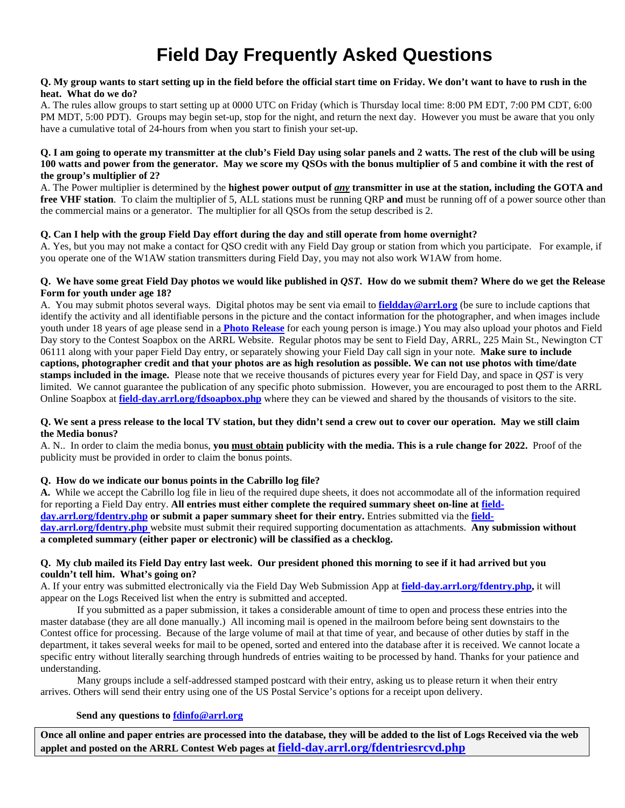# **Field Day Frequently Asked Questions**

#### **Q. My group wants to start setting up in the field before the official start time on Friday. We don't want to have to rush in the heat. What do we do?**

A. The rules allow groups to start setting up at 0000 UTC on Friday (which is Thursday local time: 8:00 PM EDT, 7:00 PM CDT, 6:00 PM MDT, 5:00 PDT). Groups may begin set-up, stop for the night, and return the next day. However you must be aware that you only have a cumulative total of 24-hours from when you start to finish your set-up.

### **Q. I am going to operate my transmitter at the club's Field Day using solar panels and 2 watts. The rest of the club will be using 100 watts and power from the generator. May we score my QSOs with the bonus multiplier of 5 and combine it with the rest of the group's multiplier of 2?**

A. The Power multiplier is determined by the **highest power output of** *any* **transmitter in use at the station, including the GOTA and free VHF station**. To claim the multiplier of 5, ALL stations must be running ORP and must be running off of a power source other than the commercial mains or a generator. The multiplier for all QSOs from the setup described is 2.

## **Q. Can I help with the group Field Day effort during the day and still operate from home overnight?**

A. Yes, but you may not make a contact for QSO credit with any Field Day group or station from which you participate. For example, if you operate one of the W1AW station transmitters during Field Day, you may not also work W1AW from home.

## **Q. We have some great Field Day photos we would like published in** *QST***. How do we submit them? Where do we get the Release Form for youth under age 18?**

A. You may submit photos several ways. Digital photos may be sent via email to **[fieldday@arrl.org](mailto:fieldday@arrl.org)** (be sure to include captions that identify the activity and all identifiable persons in the picture and the contact information for the photographer, and when images include youth under 18 years of age please send in a **[Photo Release](http://www.arrl.org/files/file/Model%20Release%20/ModelReleaseForm.pdf)** for each young person is image.) You may also upload your photos and Field Day story to the Contest Soapbox on the ARRL Website. Regular photos may be sent to Field Day, ARRL, 225 Main St., Newington CT 06111 along with your paper Field Day entry, or separately showing your Field Day call sign in your note. **Make sure to include captions, photographer credit and that your photos are as high resolution as possible. We can not use photos with time/date stamps included in the image.** Please note that we receive thousands of pictures every year for Field Day, and space in *QST* is very limited. We cannot guarantee the publication of any specific photo submission. However, you are encouraged to post them to the ARRL Online Soapbox at **[field-day.arrl.org/fdsoapbox.php](http://field-day.arrl.org/fdsoapbox.php)** where they can be viewed and shared by the thousands of visitors to the site.

#### **Q. We sent a press release to the local TV station, but they didn't send a crew out to cover our operation. May we still claim the Media bonus?**

A. N.. In order to claim the media bonus, **you must obtain publicity with the media. This is a rule change for 2022.** Proof of the publicity must be provided in order to claim the bonus points.

## **Q. How do we indicate our bonus points in the Cabrillo log file?**

**A.** While we accept the Cabrillo log file in lieu of the required dupe sheets, it does not accommodate all of the information required for reporting a Field Day entry. **All entries must either complete the required summary sheet on-line a[t field](https://field-day.arrl.org/fdentry.php)[day.arrl.org/fdentry.php](https://field-day.arrl.org/fdentry.php) or submit a paper summary sheet for their entry.** Entries submitted via the **[field](https://field-day.arrl.org/fdentry.php)[day.arrl.org/fdentry.php](https://field-day.arrl.org/fdentry.php)** website must submit their required supporting documentation as attachments. **Any submission without a completed summary (either paper or electronic) will be classified as a checklog.** 

## **Q. My club mailed its Field Day entry last week. Our president phoned this morning to see if it had arrived but you couldn't tell him. What's going on?**

A. If your entry was submitted electronically via the Field Day Web Submission App at **[field-day.arrl.org/fdentry.php,](https://field-day.arrl.org/fdentry.php)** it will appear on the Logs Received list when the entry is submitted and accepted.

If you submitted as a paper submission, it takes a considerable amount of time to open and process these entries into the master database (they are all done manually.) All incoming mail is opened in the mailroom before being sent downstairs to the Contest office for processing. Because of the large volume of mail at that time of year, and because of other duties by staff in the department, it takes several weeks for mail to be opened, sorted and entered into the database after it is received. We cannot locate a specific entry without literally searching through hundreds of entries waiting to be processed by hand. Thanks for your patience and understanding.

Many groups include a self-addressed stamped postcard with their entry, asking us to please return it when their entry arrives. Others will send their entry using one of the US Postal Service's options for a receipt upon delivery.

## **Send any questions t[o fdinfo@arrl.org](mailto:fdinfo@arrl.org)**

**Once all online and paper entries are processed into the database, they will be added to the list of Logs Received via the web applet and posted on the ARRL Contest Web pages at [field-day.arrl.org/fdentriesrcvd.php](http://field-day.arrl.org/fdentriesrcvd.php)**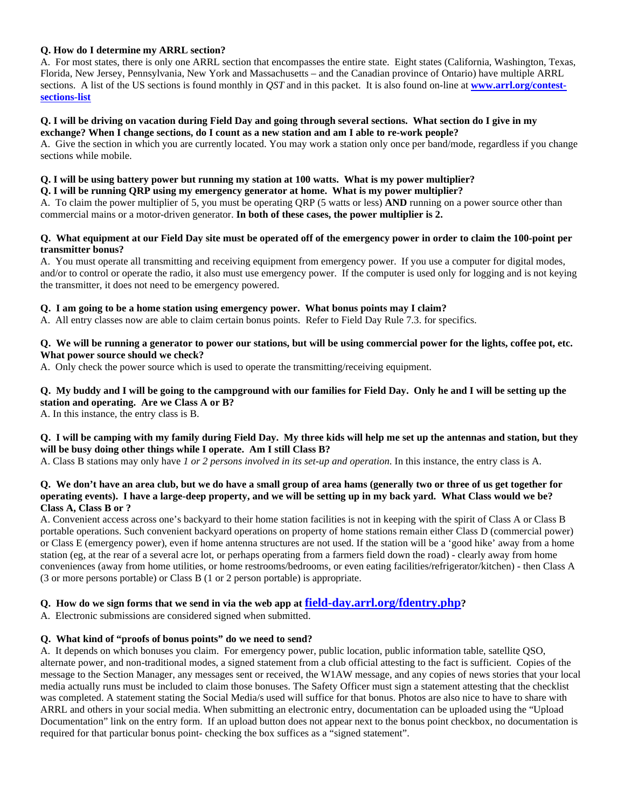## **Q. How do I determine my ARRL section?**

A. For most states, there is only one ARRL section that encompasses the entire state. Eight states (California, Washington, Texas, Florida, New Jersey, Pennsylvania, New York and Massachusetts – and the Canadian province of Ontario) have multiple ARRL sections. A list of the US sections is found monthly in *QST* and in this packet. It is also found on-line at **[www.arrl.org/contest](http://www.arrl.org/contest-sections-list)[sections-list](http://www.arrl.org/contest-sections-list)**

#### **Q. I will be driving on vacation during Field Day and going through several sections. What section do I give in my exchange? When I change sections, do I count as a new station and am I able to re-work people?**

A. Give the section in which you are currently located. You may work a station only once per band/mode, regardless if you change sections while mobile.

## **Q. I will be using battery power but running my station at 100 watts. What is my power multiplier?**

**Q. I will be running QRP using my emergency generator at home. What is my power multiplier?**

A. To claim the power multiplier of 5, you must be operating QRP (5 watts or less) **AND** running on a power source other than commercial mains or a motor-driven generator. **In both of these cases, the power multiplier is 2.**

## **Q. What equipment at our Field Day site must be operated off of the emergency power in order to claim the 100-point per transmitter bonus?**

A. You must operate all transmitting and receiving equipment from emergency power. If you use a computer for digital modes, and/or to control or operate the radio, it also must use emergency power. If the computer is used only for logging and is not keying the transmitter, it does not need to be emergency powered.

## **Q. I am going to be a home station using emergency power. What bonus points may I claim?**

A. All entry classes now are able to claim certain bonus points. Refer to Field Day Rule 7.3. for specifics.

## **Q. We will be running a generator to power our stations, but will be using commercial power for the lights, coffee pot, etc. What power source should we check?**

A. Only check the power source which is used to operate the transmitting/receiving equipment.

## **Q. My buddy and I will be going to the campground with our families for Field Day. Only he and I will be setting up the station and operating. Are we Class A or B?**

A. In this instance, the entry class is B.

## **Q. I will be camping with my family during Field Day. My three kids will help me set up the antennas and station, but they will be busy doing other things while I operate. Am I still Class B?**

A. Class B stations may only have *1 or 2 persons involved in its set-up and operation*. In this instance, the entry class is A.

## **Q. We don't have an area club, but we do have a small group of area hams (generally two or three of us get together for operating events). I have a large-deep property, and we will be setting up in my back yard. What Class would we be? Class A, Class B or ?**

A. Convenient access across one's backyard to their home station facilities is not in keeping with the spirit of Class A or Class B portable operations. Such convenient backyard operations on property of home stations remain either Class D (commercial power) or Class E (emergency power), even if home antenna structures are not used. If the station will be a 'good hike' away from a home station (eg, at the rear of a several acre lot, or perhaps operating from a farmers field down the road) - clearly away from home conveniences (away from home utilities, or home restrooms/bedrooms, or even eating facilities/refrigerator/kitchen) - then Class A (3 or more persons portable) or Class B (1 or 2 person portable) is appropriate.

## **Q. How do we sign forms that we send in via the web app at [field-day.arrl.org/fdentry.php?](http://field-day.arrl.org/fdentry.php)**

A. Electronic submissions are considered signed when submitted.

## **Q. What kind of "proofs of bonus points" do we need to send?**

A. It depends on which bonuses you claim. For emergency power, public location, public information table, satellite QSO, alternate power, and non-traditional modes, a signed statement from a club official attesting to the fact is sufficient. Copies of the message to the Section Manager, any messages sent or received, the W1AW message, and any copies of news stories that your local media actually runs must be included to claim those bonuses. The Safety Officer must sign a statement attesting that the checklist was completed. A statement stating the Social Media/s used will suffice for that bonus. Photos are also nice to have to share with ARRL and others in your social media. When submitting an electronic entry, documentation can be uploaded using the "Upload Documentation" link on the entry form. If an upload button does not appear next to the bonus point checkbox, no documentation is required for that particular bonus point- checking the box suffices as a "signed statement".